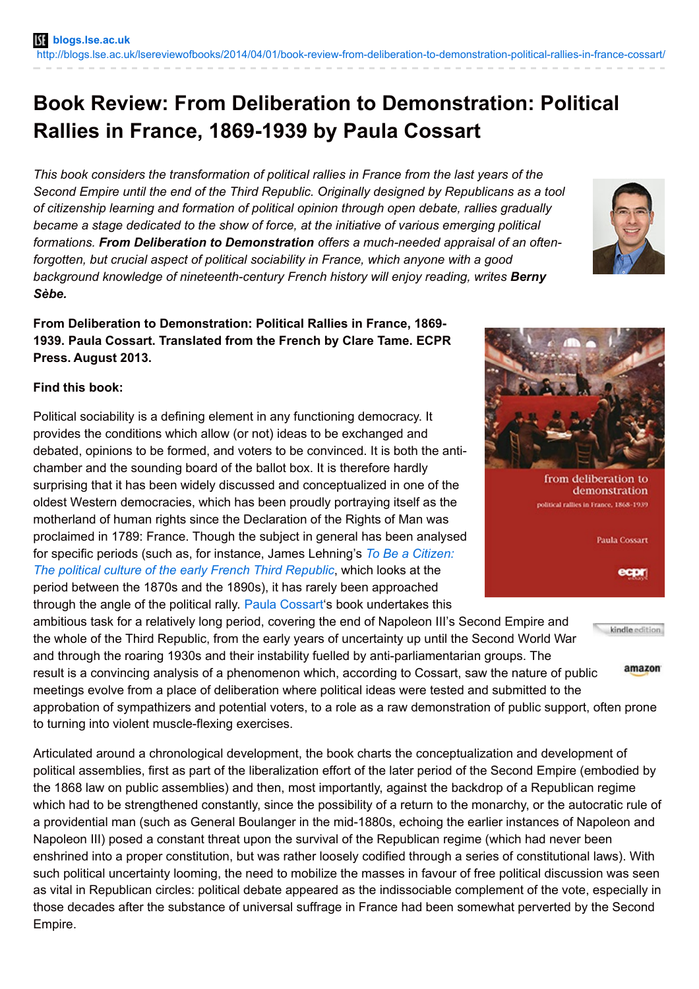## **Book Review: From Deliberation to Demonstration: Political Rallies in France, 1869-1939 by Paula Cossart**

*This book considers the transformation of political rallies in France from the last years of the Second Empire until the end of the Third Republic. Originally designed by Republicans as a tool of citizenship learning and formation of political opinion through open debate, rallies gradually became a stage dedicated to the show of force, at the initiative of various emerging political formations. From Deliberation to Demonstration offers a much-needed appraisal of an oftenforgotten, but crucial aspect of political sociability in France, which anyone with a good background knowledge of nineteenth-century French history will enjoy reading, writes Berny Sèbe.*



**From Deliberation to Demonstration: Political Rallies in France, 1869- 1939. Paula Cossart. Translated from the French by Clare Tame. ECPR Press. August 2013.**

## **Find this book:**

Political sociability is a defining element in any functioning democracy. It provides the conditions which allow (or not) ideas to be exchanged and debated, opinions to be formed, and voters to be convinced. It is both the antichamber and the sounding board of the ballot box. It is therefore hardly surprising that it has been widely discussed and conceptualized in one of the oldest Western democracies, which has been proudly portraying itself as the motherland of human rights since the Declaration of the Rights of Man was proclaimed in 1789: France. Though the subject in general has been analysed for specific periods (such as, for instance, James [Lehning's](http://www.amazon.co.uk/gp/product/0801438888/ref=as_li_qf_sp_asin_il_tl?ie=UTF8&camp=1634&creative=6738&creativeASIN=0801438888&linkCode=as2&tag=lsreofbo-21) *To Be a Citizen: The political culture of the early French Third Republic*, which looks at the period between the 1870s and the 1890s), it has rarely been approached through the angle of the political rally. Paula [Cossart](https://ces.fas.harvard.edu/#/people/profile/pcossart)'s book undertakes this

from deliberation to demonstration political rallies in France, 1868-1939 **Paula Cossart** ecpr

ambitious task for a relatively long period, covering the end of Napoleon III's Second Empire and the whole of the Third Republic, from the early years of uncertainty up until the Second World War and through the roaring 1930s and their instability fuelled by anti-parliamentarian groups. The result is a convincing analysis of a phenomenon which, according to Cossart, saw the nature of public meetings evolve from a place of deliberation where political ideas were tested and submitted to the approbation of sympathizers and potential voters, to a role as a raw demonstration of public support, often prone

kindle edition

amazon

to turning into violent muscle-flexing exercises.

Articulated around a chronological development, the book charts the conceptualization and development of political assemblies, first as part of the liberalization effort of the later period of the Second Empire (embodied by the 1868 law on public assemblies) and then, most importantly, against the backdrop of a Republican regime which had to be strengthened constantly, since the possibility of a return to the monarchy, or the autocratic rule of a providential man (such as General Boulanger in the mid-1880s, echoing the earlier instances of Napoleon and Napoleon III) posed a constant threat upon the survival of the Republican regime (which had never been enshrined into a proper constitution, but was rather loosely codified through a series of constitutional laws). With such political uncertainty looming, the need to mobilize the masses in favour of free political discussion was seen as vital in Republican circles: political debate appeared as the indissociable complement of the vote, especially in those decades after the substance of universal suffrage in France had been somewhat perverted by the Second Empire.